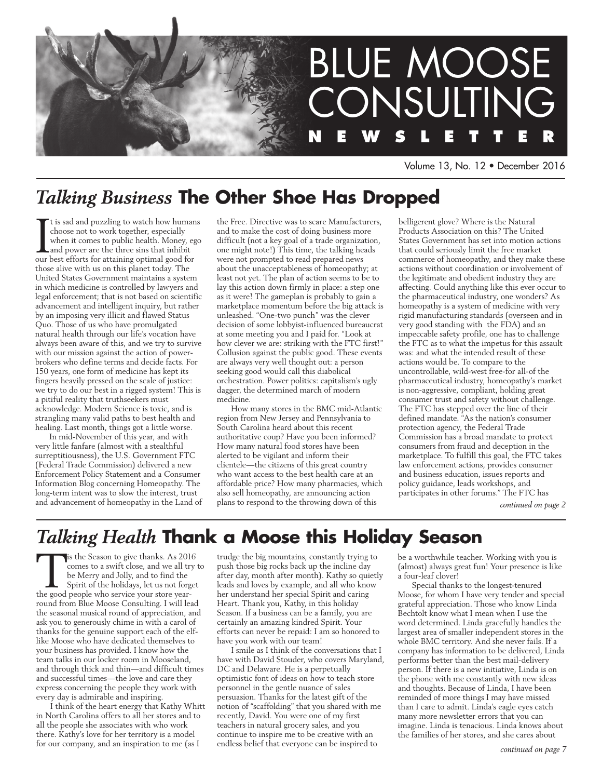

Volume 13, No. 12 • December 2016

# *Talking Business* **The Other Shoe Has Dropped**

It is sad and puzzling to watch how human<br>choose not to work together, especially<br>when it comes to public health. Money, eg<br>and power are the three sins that inhibit<br>our best efforts for attaining optimal good for t is sad and puzzling to watch how humans choose not to work together, especially when it comes to public health. Money, ego and power are the three sins that inhibit those alive with us on this planet today. The United States Government maintains a system in which medicine is controlled by lawyers and legal enforcement; that is not based on scientific advancement and intelligent inquiry, but rather by an imposing very illicit and flawed Status Quo. Those of us who have promulgated natural health through our life's vocation have always been aware of this, and we try to survive with our mission against the action of powerbrokers who define terms and decide facts. For 150 years, one form of medicine has kept its fingers heavily pressed on the scale of justice: we try to do our best in a rigged system! This is a pitiful reality that truthseekers must acknowledge. Modern Science is toxic, and is strangling many valid paths to best health and healing. Last month, things got a little worse.

In mid-November of this year, and with very little fanfare (almost with a stealthful surreptitiousness), the U.S. Government FTC (Federal Trade Commission) delivered a new Enforcement Policy Statement and a Consumer Information Blog concerning Homeopathy. The long-term intent was to slow the interest, trust and advancement of homeopathy in the Land of the Free. Directive was to scare Manufacturers, and to make the cost of doing business more difficult (not a key goal of a trade organization, one might note!) This time, the talking heads were not prompted to read prepared news about the unacceptableness of homeopathy; at least not yet. The plan of action seems to be to lay this action down firmly in place: a step one as it were! The gameplan is probably to gain a marketplace momentum before the big attack is unleashed. "One-two punch" was the clever decision of some lobbyist-influenced bureaucrat at some meeting you and I paid for. "Look at how clever we are: striking with the FTC first!" Collusion against the public good. These events are always very well thought out: a person seeking good would call this diabolical orchestration. Power politics: capitalism's ugly dagger, the determined march of modern medicine.

How many stores in the BMC mid-Atlantic region from New Jersey and Pennsylvania to South Carolina heard about this recent authoritative coup? Have you been informed? How many natural food stores have been alerted to be vigilant and inform their clientele—the citizens of this great country who want access to the best health care at an affordable price? How many pharmacies, which also sell homeopathy, are announcing action plans to respond to the throwing down of this

belligerent glove? Where is the Natural Products Association on this? The United States Government has set into motion actions that could seriously limit the free market commerce of homeopathy, and they make these actions without coordination or involvement of the legitimate and obedient industry they are affecting. Could anything like this ever occur to the pharmaceutical industry, one wonders? As homeopathy is a system of medicine with very rigid manufacturing standards (overseen and in very good standing with the FDA) and an impeccable safety profile, one has to challenge the FTC as to what the impetus for this assault was: and what the intended result of these actions would be. To compare to the uncontrollable, wild-west free-for all-of the pharmaceutical industry, homeopathy's market is non-aggressive, compliant, holding great consumer trust and safety without challenge. The FTC has stepped over the line of their defined mandate. "As the nation's consumer protection agency, the Federal Trade Commission has a broad mandate to protect consumers from fraud and deception in the marketplace. To fulfill this goal, the FTC takes law enforcement actions, provides consumer and business education, issues reports and policy guidance, leads workshops, and participates in other forums." The FTC has

*continued on page 2*

# *Talking Health* **Thank a Moose this Holiday Season**

is the Season to give thanks. As 2016 comes to a swift close, and we all try to be Merry and Jolly, and to find the Spirit of the holidays, let us not forget the good people who service your store yearround from Blue Moose Consulting. I will lead the seasonal musical round of appreciation, and ask you to generously chime in with a carol of thanks for the genuine support each of the elflike Moose who have dedicated themselves to your business has provided. I know how the team talks in our locker room in Mooseland, and through thick and thin—and difficult times and successful times—the love and care they express concerning the people they work with every day is admirable and inspiring.

I think of the heart energy that Kathy Whitt in North Carolina offers to all her stores and to all the people she associates with who work there. Kathy's love for her territory is a model for our company, and an inspiration to me (as I

trudge the big mountains, constantly trying to push those big rocks back up the incline day after day, month after month). Kathy so quietly leads and loves by example, and all who know her understand her special Spirit and caring Heart. Thank you, Kathy, in this holiday Season. If a business can be a family, you are certainly an amazing kindred Spirit. Your efforts can never be repaid: I am so honored to have you work with our team!

I smile as I think of the conversations that I have with David Stouder, who covers Maryland, DC and Delaware. He is a perpetually optimistic font of ideas on how to teach store personnel in the gentle nuance of sales persuasion. Thanks for the latest gift of the notion of "scaffolding" that you shared with me recently, David. You were one of my first teachers in natural grocery sales, and you continue to inspire me to be creative with an endless belief that everyone can be inspired to

be a worthwhile teacher. Working with you is (almost) always great fun! Your presence is like a four-leaf clover!

Special thanks to the longest-tenured Moose, for whom I have very tender and special grateful appreciation. Those who know Linda Bechtolt know what I mean when I use the word determined. Linda gracefully handles the largest area of smaller independent stores in the whole BMC territory. And she never fails. If a company has information to be delivered, Linda performs better than the best mail-delivery person. If there is a new initiative, Linda is on the phone with me constantly with new ideas and thoughts. Because of Linda, I have been reminded of more things I may have missed than I care to admit. Linda's eagle eyes catch many more newsletter errors that you can imagine. Linda is tenacious. Linda knows about the families of her stores, and she cares about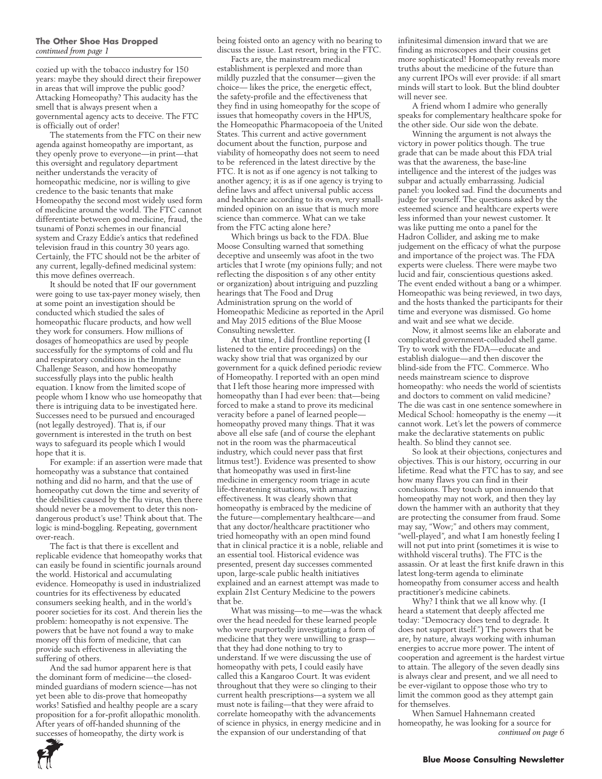#### **The Other Shoe Has Dropped**  *continued from page 1*

cozied up with the tobacco industry for 150 years: maybe they should direct their firepower in areas that will improve the public good? Attacking Homeopathy? This audacity has the smell that is always present when a governmental agency acts to deceive. The FTC is officially out of order!

The statements from the FTC on their new agenda against homeopathy are important, as they openly prove to everyone—in print—that this oversight and regulatory department neither understands the veracity of homeopathic medicine, nor is willing to give credence to the basic tenants that make Homeopathy the second most widely used form of medicine around the world. The FTC cannot differentiate between good medicine, fraud, the tsunami of Ponzi schemes in our financial system and Crazy Eddie's antics that redefined television fraud in this country 30 years ago. Certainly, the FTC should not be the arbiter of any current, legally-defined medicinal system: this move defines overreach.

It should be noted that IF our government were going to use tax-payer money wisely, then at some point an investigation should be conducted which studied the sales of homeopathic flucare products, and how well they work for consumers. How millions of dosages of homeopathics are used by people successfully for the symptoms of cold and flu and respiratory conditions in the Immune Challenge Season, and how homeopathy successfully plays into the public health equation. I know from the limited scope of people whom I know who use homeopathy that there is intriguing data to be investigated here. Successes need to be pursued and encouraged (not legally destroyed). That is, if our government is interested in the truth on best ways to safeguard its people which I would hope that it is.

For example: if an assertion were made that homeopathy was a substance that contained nothing and did no harm, and that the use of homeopathy cut down the time and severity of the debilities caused by the flu virus, then there should never be a movement to deter this nondangerous product's use! Think about that. The logic is mind-boggling. Repeating, government over-reach.

The fact is that there is excellent and replicable evidence that homeopathy works that can easily be found in scientific journals around the world. Historical and accumulating evidence. Homeopathy is used in industrialized countries for its effectiveness by educated consumers seeking health, and in the world's poorer societies for its cost. And therein lies the problem: homeopathy is not expensive. The powers that be have not found a way to make money off this form of medicine, that can provide such effectiveness in alleviating the suffering of others.

And the sad humor apparent here is that the dominant form of medicine—the closedminded guardians of modern science—has not yet been able to dis-prove that homeopathy works! Satisfied and healthy people are a scary proposition for a for-profit allopathic monolith. After years of off-handed shunning of the successes of homeopathy, the dirty work is

being foisted onto an agency with no bearing to discuss the issue. Last resort, bring in the FTC.

Facts are, the mainstream medical establishment is perplexed and more than mildly puzzled that the consumer—given the choice— likes the price, the energetic effect, the safety-profile and the effectiveness that they find in using homeopathy for the scope of issues that homeopathy covers in the HPUS, the Homeopathic Pharmacopoeia of the United States. This current and active government document about the function, purpose and viability of homeopathy does not seem to need to be referenced in the latest directive by the FTC. It is not as if one agency is not talking to another agency; it is as if one agency is trying to define laws and affect universal public access and healthcare according to its own, very smallminded opinion on an issue that is much more science than commerce. What can we take from the FTC acting alone here?

Which brings us back to the FDA. Blue Moose Consulting warned that something deceptive and unseemly was afoot in the two articles that I wrote (my opinions fully; and not reflecting the disposition s of any other entity or organization) about intriguing and puzzling hearings that The Food and Drug Administration sprung on the world of Homeopathic Medicine as reported in the April and May 2015 editions of the Blue Moose Consulting newsletter.

At that time, I did frontline reporting (I listened to the entire proceedings) on the wacky show trial that was organized by our government for a quick defined periodic review of Homeopathy. I reported with an open mind that I left those hearing more impressed with homeopathy than I had ever been: that—being forced to make a stand to prove its medicinal veracity before a panel of learned people homeopathy proved many things. That it was above all else safe (and of course the elephant not in the room was the pharmaceutical industry, which could never pass that first litmus test!). Evidence was presented to show that homeopathy was used in first-line medicine in emergency room triage in acute life-threatening situations, with amazing effectiveness. It was clearly shown that homeopathy is embraced by the medicine of the future—complementary healthcare—and that any doctor/healthcare practitioner who tried homeopathy with an open mind found that in clinical practice it is a noble, reliable and an essential tool. Historical evidence was presented, present day successes commented upon, large-scale public health initiatives explained and an earnest attempt was made to explain 21st Century Medicine to the powers that be.

What was missing—to me—was the whack over the head needed for these learned people who were purportedly investigating a form of medicine that they were unwilling to grasp that they had done nothing to try to understand. If we were discussing the use of homeopathy with pets, I could easily have called this a Kangaroo Court. It was evident throughout that they were so clinging to their current health prescriptions—a system we all must note is failing—that they were afraid to correlate homeopathy with the advancements of science in physics, in energy medicine and in the expansion of our understanding of that

infinitesimal dimension inward that we are finding as microscopes and their cousins get more sophisticated! Homeopathy reveals more truths about the medicine of the future than any current IPOs will ever provide: if all smart minds will start to look. But the blind doubter will never see.

A friend whom I admire who generally speaks for complementary healthcare spoke for the other side. Our side won the debate.

Winning the argument is not always the victory in power politics though. The true grade that can be made about this FDA trial was that the awareness, the base-line intelligence and the interest of the judges was subpar and actually embarrassing. Judicial panel: you looked sad. Find the documents and judge for yourself. The questions asked by the esteemed science and healthcare experts were less informed than your newest customer. It was like putting me onto a panel for the Hadron Collider, and asking me to make judgement on the efficacy of what the purpose and importance of the project was. The FDA experts were clueless. There were maybe two lucid and fair, conscientious questions asked. The event ended without a bang or a whimper. Homeopathic was being reviewed, in two days, and the hosts thanked the participants for their time and everyone was dismissed. Go home and wait and see what we decide.

Now, it almost seems like an elaborate and complicated government-colluded shell game. Try to work with the FDA—educate and establish dialogue—and then discover the blind-side from the FTC. Commerce. Who needs mainstream science to disprove homeopathy: who needs the world of scientists and doctors to comment on valid medicine? The die was cast in one sentence somewhere in Medical School: homeopathy is the enemy —it cannot work. Let's let the powers of commerce make the declarative statements on public health. So blind they cannot see.

So look at their objections, conjectures and objectives. This is our history, occurring in our lifetime. Read what the FTC has to say, and see how many flaws you can find in their conclusions. They touch upon innuendo that homeopathy may not work, and then they lay down the hammer with an authority that they are protecting the consumer from fraud. Some may say, "Wow;" and others may comment, "well-played", and what I am honestly feeling I will not put into print (sometimes it is wise to withhold visceral truths). The FTC is the assassin. Or at least the first knife drawn in this latest long-term agenda to eliminate homeopathy from consumer access and health practitioner's medicine cabinets.

Why? I think that we all know why. (I heard a statement that deeply affected me today: "Democracy does tend to degrade. It does not support itself.") The powers that be are, by nature, always working with inhuman energies to accrue more power. The intent of cooperation and agreement is the hardest virtue to attain. The allegory of the seven deadly sins is always clear and present, and we all need to be ever-vigilant to oppose those who try to limit the common good as they attempt gain for themselves.

When Samuel Hahnemann created homeopathy, he was looking for a source for *continued on page 6*

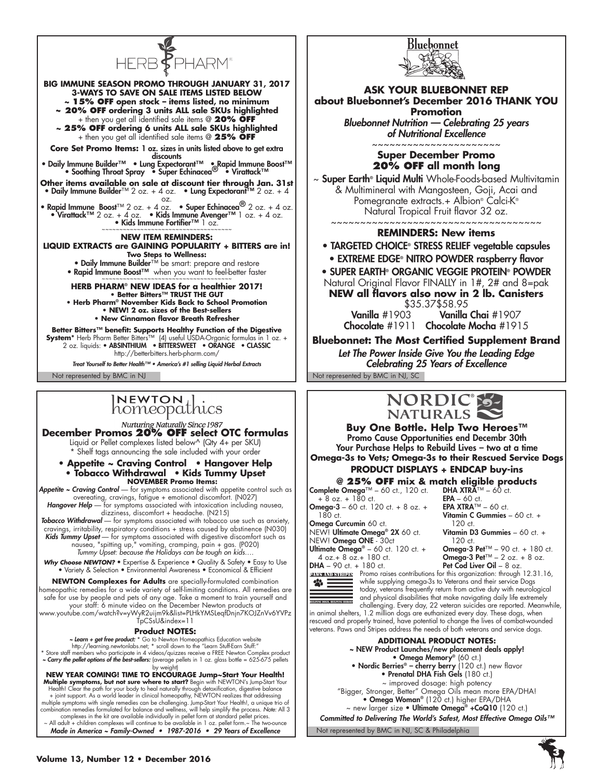

**December Promos 20% OFF select OTC formulas**

Liquid or Pellet complexes listed below^ (Qty 4+ per SKU) \* Shelf tags announcing the sale included with your order

**• Appetite ~ Craving Control • Hangover Help • Tobacco Withdrawal** • **Kids Tummy Upset NOVEMBER Promo Items:**

*Appetite ~ Craving Control* — for symptoms associated with appetite control such as overeating, cravings, fatigue + emotional discomfort. (N027) *Hangover Help* — for symptoms associated with intoxication including nausea,

dizziness, discomfort + headache. (N215)

*Tobacco Withdrawal* — for symptoms associated with tobacco use such as anxiety, cravings, irritability, respiratory conditions + stress caused by abstinence (N030) Kids Tummy Upset - for symptoms associated with digestive discomfort such as nausea, "spitting up," vomiting, cramping, pain + gas. (P020) *Tummy Upset: because the Holidays can be tough on kids….*

Why Choose NEWTON? • Expertise & Experience • Quality & Safety • Easy to Use • Variety & Selection • Environmental Awareness • Economical & Efficient

**NEWTON Complexes for Adults** are specially-formulated combination homeopathic remedies for a wide variety of self-limiting conditions. All remedies are safe for use by people and pets of any age. Take a moment to train yourself and your staff: 6 minute video on the December Newton products at

www.youtube.com/watch?v=yWyR2uijm9k&list=PLHkYMSLeqfDnjn7KOJZnVv6YVPz TpCSsU&index=11

#### **Product NOTES:**

*~ Learn + get free product:* \* Go to Newton Homeopathics Education website

http://learning.newtonlabs.net; \* scroll down to the "Learn Stuff-Earn Stuff:" \* Store staff members who participate in 4 videos/quizzes receive a FREE Newton Complex product *~ Carry the pellet options of the best-sellers:* (average pellets in 1 oz. glass bottle = 625-675 pellets

by weight) **NEW YEAR COMING! TIME TO ENCOURAGE Jump~Start Your Health!**<br>**Multiple symptoms, but not sure where to start?** Begin with NEWTON's Jump-Start Your<br>Health! Clear the path for your body to heal naturally through detoxificati multiple symptoms with single remedies can be challenging. Jump-Start Your Health!, a unique trio of<br>combination remedies formulated for balance and wellness, will help simplify the process. Note: All 3<br>complexes in the ki



#### **ASK YOUR BLUEBONNET REP about Bluebonnet's December 2016 THANK YOU Promotion**

Bluebonnet Nutrition — Celebrating 25 years of Nutritional Excellence

~~~~~~~~~~~~~~~~~~~~~~ **Super December Promo 20% OFF all month long**

~ Super Earth® Liquid Multi Whole-Foods-based Multivitamin & Multimineral with Mangosteen, Goji, Acai and Pomegranate extracts.+ Albion® Calci-K® Natural Tropical Fruit flavor 32 oz.

~~~~~~~~~~~~~~~~~~~~~~~~~~~~~~~~~~~~

#### **REMINDERS: New items**

• TARGETED CHOICE® STRESS RELIEF vegetable capsules

• EXTREME EDGE® NITRO POWDER raspberry flavor

• SUPER EARTH® ORGANIC VEGGIE PROTEIN® POWDER Natural Original Flavor FINALLY in 1#, 2# and 8=pak

**NEW all flavors also now in 2 lb. Canisters** 

\$35.37\$58.95 Vanilla Chai #1907 Chocolate #1911 Chocolate Mocha #1915

**Bluebonnet: The Most Certified Supplement Brand**

Let The Power Inside Give You the Leading Edge Celebrating 25 Years of Excellence



**Buy One Bottle. Help Two Heroes™** Promo Cause Opportunities end Decembr 30th Your Purchase Helps to Rebuild Lives – two at a time **Omega-3s to Vets; Omega-3s to their Rescued Service Dogs PRODUCT DISPLAYS + ENDCAP buy-ins**

# **@ 25% OFF mix & match eligible products**

Complete Omega™ – 60 ct., 120 ct.  $+ 8$  oz.  $+ 180$  ct. **Omega-3** – 60 ct. 120 ct.  $+8$  oz.  $+$ 180 ct.

Omega Curcumin 60 ct. NEW! Ultimate Omega® 2X 60 ct. NEW! Omega ONE - 30ct Ultimate Omega® - 60 ct. 120 ct. + 4 oz.+ 8 oz.+ 180 ct.

Vitamin D3 Gummies – 60 ct. + 120 ct. Omega-3 Pet™ – 90 ct. + 180 ct. **Omega-3 Pet™** – 2 oz. + 8 oz. Pet Cod Liver Oil – 8 oz.

DHA XTR $\overline{A}^{\text{TM}}$  – 60 ct.  $EPA - 60$  ct. EPA XTRA™ – 60 ct. Vitamin C Gummies – 60 ct. +

DHA - 90 ct. + 180 ct.  $\bullet \equiv$ 

**PAWS AND STRIDES** Promo raises contributions for this organization: through 12.31.16, while supplying omega-3s to Veterans and their service Dogs today, veterans frequently return from active duty with neurological and physical disabilities that make navigating daily life extremely challenging. Every day, 22 veteran suicides are reported. Meanwhile,

120 ct.

in animal shelters, 1.2 million dogs are euthanized every day. These dogs, when rescued and properly trained, have potential to change the lives of combat-wounded veterans. Paws and Stripes address the needs of both veterans and service dogs.



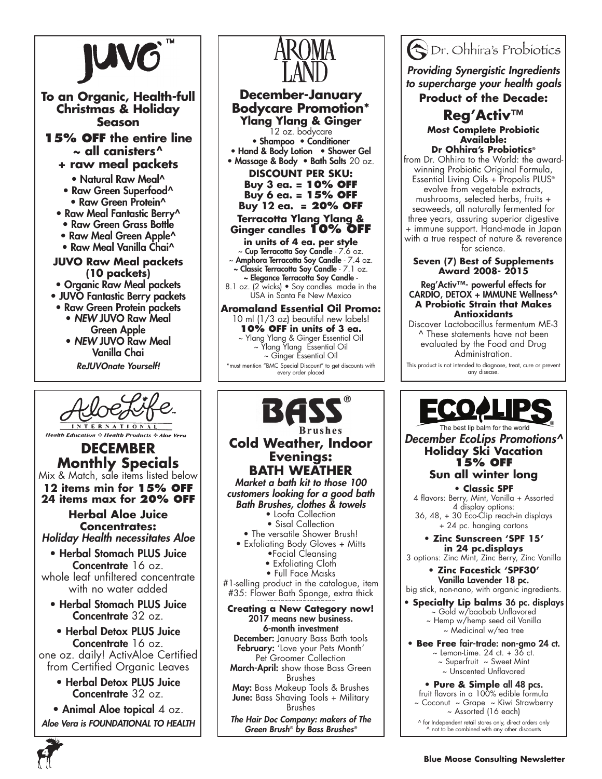

ReJUVOnate Yourself!



**Health Education** ☆ Health Products ☆ Aloe Vera

**DECEMBER Monthly Specials** Mix & Match, sale items listed below **12 items min for 15% off**

**24 items max for 20% off**

**Herbal Aloe Juice Concentrates:** *Holiday Health necessitates Aloe*

• Herbal Stomach PLUS Juice Concentrate 16 oz.

whole leaf unfiltered concentrate with no water added

• Herbal Stomach PLUS Juice Concentrate 32 oz.

• Herbal Detox PLUS Juice Concentrate 16 oz. one oz. daily! ActivAloe Certified from Certified Organic Leaves

> • Herbal Detox PLUS Juice Concentrate 32 oz.

• Animal Aloe topical  $4$  oz. *Aloe Vera is FOUNDATIONAL TO HEALTH*



### **December-January Bodycare Promotion\* Ylang Ylang & Ginger**

12 oz. bodycare • Shampoo • Conditioner • Hand & Body Lotion • Shower Gel • Massage & Body • Bath Salts 20 oz.

> **Discount per SKU: Buy 3 ea. = 10% OFF Buy 6 ea. = 15% OFF**

**Buy 12 ea. = 20% OFF**

#### **Terracotta Ylang Ylang & Ginger candles 10% OFF**

**in units of 4 ea. per style** ~ Cup Terracotta Soy Candle - 7.6 oz. ~ Amphora Terracotta Soy Candle - 7.4 oz. ~ Classic Terracotta Soy Candle - 7.1 oz.

~ Elegance Terracotta Soy Candle - 8.1 oz. (2 wicks) • Soy candles made in the USA in Santa Fe New Mexico

### **Aromaland Essential Oil Promo:**

10 ml (1/3 oz) beautiful new labels! **10% OFF in units of 3 ea.** ~ Ylang Ylang & Ginger Essential Oil ~ Ylang Ylang Essential Oil ~ Ginger Essential Oil \*must mention "BMC Special Discount" to get discounts with every order placed



# **Cold Weather, Indoor Evenings: BATH WEATHER**

Market a bath kit to those 100 *customers looking for a good bath Bath Brushes, clothes & towels* • Loofa Collection

• Sisal Collection

- The versatile Shower Brush!
- Exfoliating Body Gloves + Mitts
	- •Facial Cleansing
	- Exfoliating Cloth
	- Full Face Masks

#1-selling product in the catalogue, item #35: Flower Bath Sponge, extra thick

#### **Creating a New Category now!** 2017 means new business. 6-month investment December: January Bass Bath tools February: 'Love your Pets Month' Pet Groomer Collection

March-April: show those Bass Green Brushes

May: Bass Makeup Tools & Brushes June: Bass Shaving Tools + Military Brushes

*The Hair Doc Company: makers of The Green Brush® by Bass Brushes®*



*Providing Synergistic Ingredients to supercharge your health goals*

**Product of the Decade:** 

## **Reg'Activ™ Most Complete Probiotic Available:**

**Dr Ohhira's Probiotics®** from Dr. Ohhira to the World: the awardwinning Probiotic Original Formula, Essential Living Oils + Propolis PLUS® evolve from vegetable extracts, mushrooms, selected herbs, fruits + seaweeds, all naturally fermented for three years, assuring superior digestive + immune support. Hand-made in Japan with a true respect of nature & reverence for science.

#### **Seven (7) Best of Supplements Award 2008- 2015**

#### Reg'Activ™- powerful effects for CARDIO, DETOX + IMMUNE Wellness^ **A Probiotic Strain that Makes Antioxidants**

Discover Lactobacillus fermentum ME-3 ^ These statements have not been evaluated by the Food and Drug Administration.

This product is not intended to diagnose, treat, cure or prevent any disease.



The best lip balm for the world *December EcoLips Promotions^* **Holiday Ski Vacation 15% OFF Sun all winter long**

**• Classic SPF** 4 flavors: Berry, Mint, Vanilla + Assorted 4 display options: 36, 48, + 30 Eco-Clip reach-in displays

+ 24 pc. hanging cartons **• Zinc Sunscreen 'SPF 15'** 

**in 24 pc.displays** 3 options: Zinc Mint, Zinc Berry, Zinc Vanilla

**• Zinc Facestick 'SPF30'**  Vanilla Lavender 18 pc. big stick, non-nano, with organic ingredients.

#### **• Specialty Lip balms** 36 pc. displays ~ Gold w/baobab Unflavored ~ Hemp w/hemp seed oil Vanilla ~ Medicinal w/tea tree

**• Bee Free** fair-trade: non-gmo 24 ct.  $\sim$  Lemon-Lime. 24 ct. + 36 ct.  $\sim$  Superfruit  $\sim$  Sweet Mint ~ Unscented Unflavored

**• Pure & Simple** all 48 pcs. fruit flavors in a 100% edible formula ~ Coconut ~ Grape ~ Kiwi Strawberry ~ Assorted (16 each) ^ for Independent retail stores only, direct orders only ^ not to be combined with any other discounts

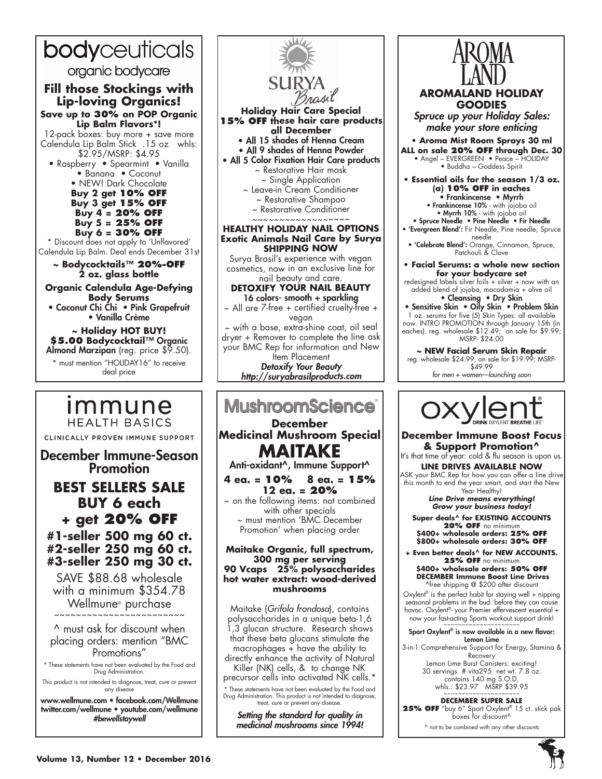# bodyceuticals

organic bodycare

# **Fill those Stockings with Lip-loving Organics!**

**Save up to 30% on POP Organic Lip Balm Flavors\*!**

12-pack boxes: buy more + save more Calendula Lip Balm<sup>'</sup>Stick .15 oz whls: \$2.95/MSRP: \$4.95

• Raspberry • Spearmint • Vanilla • Banana • Coconut • NEW! Dark Chocolate **Buy 2 get 10% off Buy 3 get 15% off Buy 4 = 20% off Buy 5 = 25% off Buy 6 = 30% off**

\* Discount does not apply to 'Unflavored' Calendula Lip Balm. Deal ends December 31st

**~ Bodycocktails™ 20%-OFF 2 oz. glass bottle** 

**Organic Calendula Age-Defying Body Serums** • Coconut Chi Ćhi • Pink Grapefruit • Vanilla Crème

**~ Holiday HOT BUY! \$5.00 Bodycocktail**™ Organic Almond Marzipan (reg. price  $$9.50$ ). \* must mention "HOLIDAY16" to receive deal price

# *Immune* **HEALTH BASICS** CLINICALLY PROVEN IMMUNE SUPPORT

December Immune-Season Promotion

# **BEST SELLERS SALE BUY 6 each + get 20% OFF**

## **#1-seller 500 mg 60 ct. #2-seller 250 mg 60 ct. #3-seller 250 mg 30 ct.**

SAVE \$88.68 wholesale with a minimum \$354.78  $W$ ellmune $^{\circ}$  purchase

^ must ask for discount when placing orders: mention "BMC Promotions"

\* These statements have not been evaluated by the Food and Drug Administration.

This product is not intended to diagnose, treat, cure or prevent any disease

www.wellmune.com • facebook.com/Wellmune twitter.com/wellmune • youtube.com/wellmune #bewellstaywell



**Holiday Hair Care Special 15% OFF these hair care products all December** • All 15 shades of Henna Cream

• All 9 shades of Henna Powder

• All 5 Color Fixation Hair Care products ~ Restorative Hair mask ~ Single Application ~ Leave-in Cream Conditioner

~ Restorative Shampoo

~ Restorative Conditioner

#### ~~~~~~~~~~~~~~~ **HEALTHY HOLIDAY NAIL OPTIONS Exotic Animals Nail Care by Surya SHIPPING NOW**

Surya Brasil's experience with vegan cosmetics, now in an exclusive line for nail beauty and care.

**DETOXIFY YOUR NAIL BEAUTY** 16 colors- smooth + sparkling

~ All are 7-free + certified cruelty-free + vegan

~ with a base, extra-shine coat, oil seal dryer + Remover to complete the line ask your BMC Rep for information and New ltem Placement

Detoxify Your Beauty *http://suryabrasilproducts.com*

# **MushroomScience**®

**December Medicinal Mushroom Special MAITAKE**

Anti-oxidant^, Immune Support^

**4 ea. = 10% 8 ea. = 15% 12 ea. = 20%**  $\sim$  on the following items: not combined with other specials ~ must mention 'BMC December Promotion' when placing order

#### **Maitake Organic, full spectrum, 300 mg per serving 90 Vcaps 25% polysaccharides hot water extract: wood-derived mushrooms**

Maitake (*Grifola frondosa*), contains polysaccharides in a unique beta-1,6 1,3 glucan structure. Research shows that these beta glucans stimulate the macrophages + have the ability to directly enhance the activity of Natural Killer (NK) cells, & to change NK precursor cells into activated NK cells.\* \* These statements have not been evaluated by the Food and

Drug Administration. This product is not intended to diagnose, treat, cure or prevent any disease.

Setting the standard for quality in medicinal mushrooms since 1994!



### **AROMALAND HOLIDAY GOODIES**

*Spruce up your Holiday Sales: make your store enticing*

**• Aroma Mist Room Sprays 30 ml ALL on sale 20% OFF through Dec. 30** • Angel – EVERGREEN • Peace – HOLIDAY

• Buddha – Goddess Spirit

**• Essential oils for the season 1/3 oz. (a) 10% OFF in eaches** • Frankincense • Myrrh

• Frankincense 10% - with jojoba oil

• Myrrh 10% - with jojoba oil • Spruce Needle • Pine Needle • Fir Needle

• 'Evergreen Blend': Fir Needle, Pine needle, Spruce

needle<br>• **'Celebrate Blend':** Orange, Cinnamon, Spruce,

Patchouli & Clove

**• Facial Serums: a whole new section for your bodycare set**

redesigned labels silver foils + silver + now with an added blend of jojoba, macadamia + olive oil

• Cleansing • Dry Skin • Sensitive Skin • Oily Skin • Problem Skin 1 oz. serums for five (5) Skin Types: all available now. INTRO PROMOTION through January 15th (in eaches). reg. wholesale \$12.49; on sale for \$9.99;

MSRP- \$24.00 **~ NEW Facial Serum Skin Repair** reg. wholesale \$24.99; on sale for \$19.99; MSRP- \$49.99

*for men + women—launching soon*



**December Immune Boost Focus & Support Promotion^**

It's that time of year: cold & flu season is upon us. **LINE DRIVES AVAILABLE NOW** ASK your BMC Rep for how you can offer a line drive

this month to end the year smart, and start the New Year Healthy!

*Line Drive means everything! Grow your business today!*

Super deals^ for EXISTING AC **20% OFF** no minimum **\$400+ wholesale orders: 25% OFF \$800+ wholesale orders: 30% OFF**

**+ Even better deals^ for New Accounts. 25% OFF** no minimum **\$400+ wholesale orders: 50% OFF DECEMBER Immune Boost Line Drives**  ^free shipping @ \$200 after discount

Oxylent<sup>®</sup> is the perfect habit for staying well + nipping seasonal problems in the bud: before they can cause havoc. Oxylent®- your Premier effervescent essential + now your fast-acting Sports workout support drink!

#### Sport Oxylent® is now available in a new flavor: Lemon Lime

3-in-1 Comprehensive Support for Energy, Stamina & Recovery Lemon Lime Burst Canisters: exciting!

30 servings # vita295 net wt. 7.8 oz. contains 140 mg S.O.D, whls.: \$23.97 MSRP \$39.95<br>~~~~~~~~~~~~~~~~~~~~~~

**DECEMBER SUPER SALE 25% OFF** "buy 6" Sport Oxylent® 15 ct. stick pak boxes for discount^

^ not to be combined with any other discounts

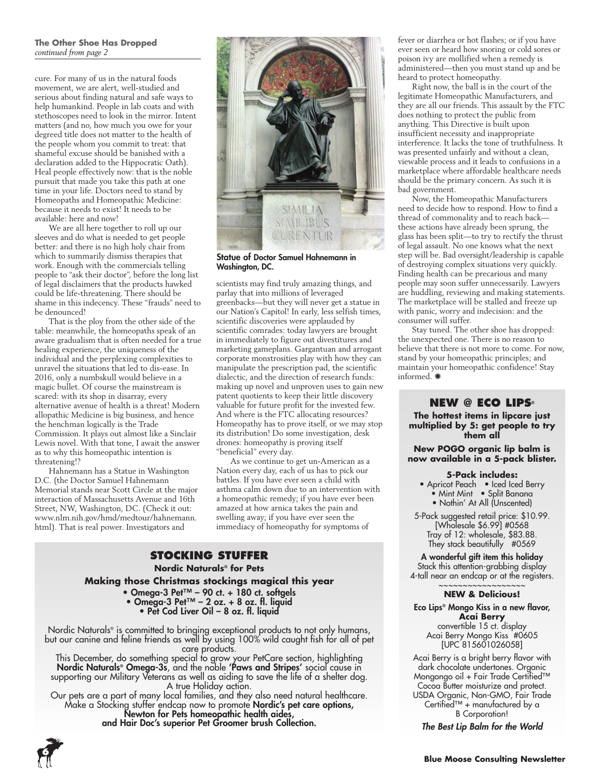#### **The Other Shoe Has Dropped**  *continued from page 2*

cure. For many of us in the natural foods movement, we are alert, well-studied and serious about finding natural and safe ways to help humankind. People in lab coats and with stethoscopes need to look in the mirror. Intent matters (and no, how much you owe for your degreed title does not matter to the health of the people whom you commit to treat: that shameful excuse should be banished with a declaration added to the Hippocratic Oath). Heal people effectively now: that is the noble pursuit that made you take this path at one time in your life. Doctors need to stand by Homeopaths and Homeopathic Medicine: because it needs to exist! It needs to be available: here and now!

We are all here together to roll up our sleeves and do what is needed to get people better: and there is no high holy chair from which to summarily dismiss therapies that work. Enough with the commercials telling people to "ask their doctor", before the long list of legal disclaimers that the products hawked could be life-threatening. There should be shame in this indecency. These "frauds" need to be denounced!

That is the ploy from the other side of the table: meanwhile, the homeopaths speak of an aware gradualism that is often needed for a true healing experience, the uniqueness of the individual and the perplexing complexities to unravel the situations that led to dis-ease. In 2016, only a numbskull would believe in a magic bullet. Of course the mainstream is scared: with its shop in disarray, every alternative avenue of health is a threat! Modern allopathic Medicine is big business, and hence the henchman logically is the Trade Commission. It plays out almost like a Sinclair Lewis novel. With that tone, I await the answer as to why this homeopathic intention is threatening!?

Hahnemann has a Statue in Washington D.C. (the Doctor Samuel Hahnemann Memorial stands near Scott Circle at the major interaction of Massachusetts Avenue and 16th Street, NW, Washington, DC. (Check it out: www.nlm.nih.gov/hmd/medtour/hahnemann. html). That is real power. Investigators and



Statue of Doctor Samuel Hahnemann in Washington, DC.

scientists may find truly amazing things, and parlay that into millions of leveraged greenbacks—but they will never get a statue in our Nation's Capitol! In early, less selfish times, scientific discoveries were applauded by scientific comrades: today lawyers are brought in immediately to figure out divestitures and marketing gameplans. Gargantuan and arrogant corporate monstrosities play with how they can manipulate the prescription pad, the scientific dialectic, and the direction of research funds: making up novel and unproven uses to gain new patent quotients to keep their little discovery valuable for future profit for the invested few. And where is the FTC allocating resources? Homeopathy has to prove itself, or we may stop its distribution! Do some investigation, desk drones: homeopathy is proving itself "beneficial" every day.

As we continue to get un-American as a Nation every day, each of us has to pick our battles. If you have ever seen a child with asthma calm down due to an intervention with a homeopathic remedy; if you have ever been amazed at how arnica takes the pain and swelling away; if you have ever seen the immediacy of homeopathy for symptoms of

### **STOCKING STUFFER**

**Nordic Naturals® for Pets Making those Christmas stockings magical this year** • Omega-3 Pet™ – 90 ct. + 180 ct. softgels • Omega-3 Pet™ – 2 oz. + 8 oz. fl. liquid

• Pet Cod Liver Oil – 8 oz. fl. liquid

Nordic Naturals<sup>®</sup> is committed to bringing exceptional products to not only humans, but our canine and feline friends as well by using 100% wild caught fish for all of pet care products.

This December, do something special to grow your PetCare section, highlighting Nordic Naturals® Omega-3s, and the noble 'Paws and Stripes' social cause in supporting our Military Veterans as well as aiding to save the life of a shelter dog. A true Holiday action.

Our pets are a part of many local families, and they also need natural healthcare. Make a Stocking stuffer endcap now to promote Nordic's pet care options, Newton for Pets homeopathic health aides, and Hair Doc's superior Pet Groomer brush Collection.



fever or diarrhea or hot flashes; or if you have ever seen or heard how snoring or cold sores or poison ivy are mollified when a remedy is administered—then you must stand up and be heard to protect homeopathy.

Right now, the ball is in the court of the legitimate Homeopathic Manufacturers, and they are all our friends. This assault by the FTC does nothing to protect the public from anything. This Directive is built upon insufficient necessity and inappropriate interference. It lacks the tone of truthfulness. It was presented unfairly and without a clean, viewable process and it leads to confusions in a marketplace where affordable healthcare needs should be the primary concern. As such it is bad government.

Now, the Homeopathic Manufacturers need to decide how to respond. How to find a thread of commonality and to reach back these actions have already been sprung, the glass has been split—to try to rectify the thrust of legal assault. No one knows what the next step will be. Bad oversight/leadership is capable of destroying complex situations very quickly. Finding health can be precarious and many people may soon suffer unnecessarily. Lawyers are huddling, reviewing and making statements. The marketplace will be stalled and freeze up with panic, worry and indecision: and the consumer will suffer.

Stay tuned. The other shoe has dropped: the unexpected one. There is no reason to believe that there is not more to come. For now, stand by your homeopathic principles; and maintain your homeopathic confidence! Stay informed.  $\bullet$ 

#### **NEW @ Eco Lips®**

**The hottest items in lipcare just multiplied by 5: get people to try them all**

**New POGO organic lip balm is now available in a 5-pack blister.**

#### **5-Pack includes:**

- Apricot Peach Iced Iced Berry • Mint Mint • Split Banana • Nothin' At All (Unscented)
- 5-Pack suggested retail price: \$10.99. [Wholesale \$6.99] #0568 Tray of 12: wholesale, \$83.88. They stack beautifully #0569

A wonderful gift item this holiday Stack this attention-grabbing display 4-tall near an endcap or at the registers.

#### ~~~~~~~~~~~~~~~~~~ **NEW & Delicious!**

Eco Lips® Mongo Kiss in a new flavor, **Acai Berry** convertible 15 ct. display Acai Berry Mongo Kiss #0605 [UPC 815601026058]

Acai Berry is a bright berry flavor with dark chocolate undertones. Organic Mongongo oil + Fair Trade Certified™ Cocoa Butter moisturize and protect. USDA Organic, Non-GMO, Fair Trade Certified™ + manufactured by a B Corporation!

*The Best Lip Balm for the World*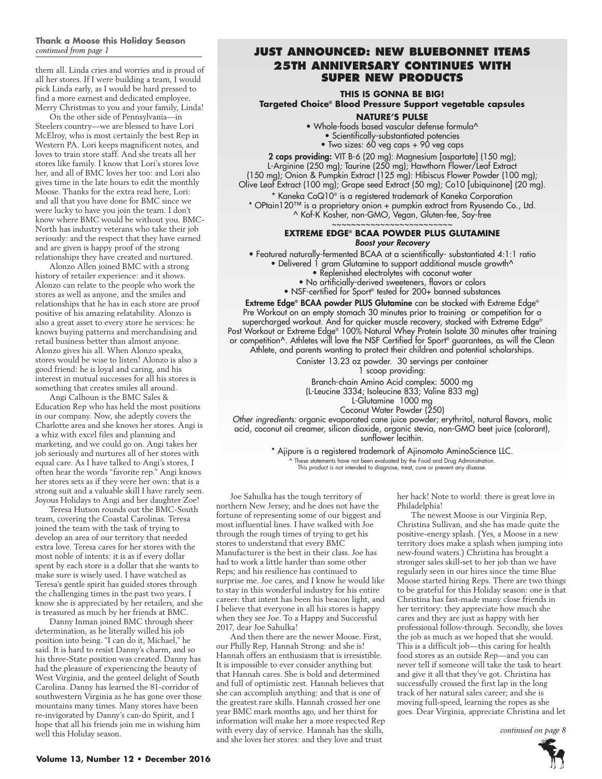# **Thank a Moose this Holiday Season**

them all. Linda cries and worries and is proud of all her stores. If I were building a team, I would pick Linda early, as I would be hard pressed to find a more earnest and dedicated employee. Merry Christmas to you and your family, Linda!

On the other side of Pennsylvania—in Steelers country—we are blessed to have Lori McElroy, who is most certainly the best Rep in Western PA. Lori keeps magnificent notes, and loves to train store staff. And she treats all her stores like family. I know that Lori's stores love her, and all of BMC loves her too: and Lori also gives time in the late hours to edit the monthly Moose. Thanks for the extra read here, Lori: and all that you have done for BMC since we were lucky to have you join the team. I don't know where BMC would be without you. BMC-North has industry veterans who take their job seriously: and the respect that they have earned and are given is happy proof of the strong relationships they have created and nurtured.

Alonzo Allen joined BMC with a strong history of retailer experience: and it shows. Alonzo can relate to the people who work the stores as well as anyone, and the smiles and relationships that he has in each store are proof positive of his amazing relatability. Alonzo is also a great asset to every store he services: he knows buying patterns and merchandising and retail business better than almost anyone. Alonzo gives his all. When Alonzo speaks, stores would be wise to listen! Alonzo is also a good friend: he is loyal and caring, and his interest in mutual successes for all his stores is something that creates smiles all around.

Angi Calhoun is the BMC Sales & Education Rep who has held the most positions in our company. Now, she adeptly covers the Charlotte area and she knows her stores. Angi is a whiz with excel files and planning and marketing, and we could go on. Angi takes her job seriously and nurtures all of her stores with equal care. As I have talked to Angi's stores, I often hear the words "favorite rep." Angi knows her stores sets as if they were her own: that is a strong suit and a valuable skill I have rarely seen. Joyous Holidays to Angi and her daughter Zoe!

Teresa Hutson rounds out the BMC-South team, covering the Coastal Carolinas. Teresa joined the team with the task of trying to develop an area of our territory that needed extra love. Teresa cares for her stores with the most noble of intents: it is as if every dollar spent by each store is a dollar that she wants to make sure is wisely used. I have watched as Teresa's gentle spirit has guided stores through the challenging times in the past two years. I know she is appreciated by her retailers, and she is treasured as much by her friends at BMC.

Danny Inman joined BMC through sheer determination, as he literally willed his job position into being. "I can do it, Michael," he said. It is hard to resist Danny's charm, and so his three-State position was created. Danny has had the pleasure of experiencing the beauty of West Virginia, and the genteel delight of South Carolina. Danny has learned the 81-corridor of southwestern Virginia as he has gone over those mountains many times. Many stores have been re-invigorated by Danny's can-do Spirit, and I hope that all his friends join me in wishing him well this Holiday season.

#### *continued from page 1* **JUST ANNOUNCED: New Bluebonnet Items 25th Anniversary continues with super new products**

**THIS IS GONNA BE BIG!**

**Targeted Choice® Blood Pressure Support vegetable capsules** 

#### **Nature's Pulse**

• Whole-foods based vascular defense formula^

- Scientifically-substantiated potencies
- Two sizes: 60 veg caps + 90 veg caps

2 caps providing: VIT B-6 (20 mg): Magnesium [aspartate] (150 mg); L-Arginine (250 mg); Taurine (250 mg); Hawthorn Flower/Leaf Extract (150 mg); Onion & Pumpkin Extract (125 mg): Hibiscus Flower Powder (100 mg); Olive Leaf Extract (100 mg); Grape seed Extract (50 mg); Co10 [ubiquinone] (20 mg).

\* Kaneka CoQ10® is a registered trademark of Kaneka Corporation \* OPtain120™ is a proprietary onion + pumpkin extract from Ryusendo Co., Ltd. ^ Kof-K Kosher, non-GMO, Vegan, Gluten-fee, Soy-free

~~~~~~~~~~~~~~~~~~~~~~~

#### **EXTREME EDGE® BCAA POWDER PLUS GLUT** *Boost your Recovery*

• Featured naturally-fermented BCAA at a scientifically- substantiated 4:1:1 ratio

- Delivered 1 gram Glutamine to support additional muscle growth^
	- Replenished electrolytes with coconut water
	- No artificially-derived sweeteners, flavors or colors
	- NSF-certified for Sport® tested for 200+ banned substances

Extreme Edge® BCAA powder PLUS Glutamine can be stacked with Extreme Edge® Pre Workout on an empty stomach 30 minutes prior to training or competition for a supercharged workout. And for quicker muscle recovery, stacked with Extreme Edge® Post Workout or Extreme Edge® 100% Natural Whey Protein Isolate 30 minutes after training or competition^. Athletes will love the NSF Certified for Sport® guarantees, as will the Clean Athlete, and parents wanting to protect their children and potential scholarships.

> Canister 13.23 oz powder. 30 servings per container 1 scoop providing:

Branch-chain Amino Acid complex: 5000 mg

(L-Leucine 3334; Isoleucine 833; Valine 833 mg)

L-Glutamine 1000 mg Coconut Water Powder (250)

*Other ingredients:* organic evaporated cane juice powder; erythritol, natural flavors, malic acid, coconut oil creamer, silicon dioxide, organic stevia, non-GMO beet juice (colorant), sunflower lecithin.

> \* Ajipure is a registered trademark of Ajinomoto AminoScience LLC. ^ These statements have not been evaluated by the Food and Drug Administration. This product is not intended to diagnose, treat, cure or prevent any disease.

Joe Sahulka has the tough territory of northern New Jersey, and he does not have the fortune of representing some of our biggest and most influential lines. I have walked with Joe through the rough times of trying to get his stores to understand that every BMC Manufacturer is the best in their class. Joe has had to work a little harder than some other Reps; and his resilience has continued to surprise me. Joe cares, and I know he would like to stay in this wonderful industry for his entire career: that intent has been his beacon light, and I believe that everyone in all his stores is happy when they see Joe. To a Happy and Successful 2017, dear Joe Sahulka!

And then there are the newer Moose. First, our Philly Rep, Hannah Strong: and she is! Hannah offers an enthusiasm that is irresistible. It is impossible to ever consider anything but that Hannah cares. She is bold and determined and full of optimistic zest. Hannah believes that she can accomplish anything: and that is one of the greatest rare skills. Hannah crossed her one year BMC mark months ago, and her thirst for information will make her a more respected Rep with every day of service. Hannah has the skills, and she loves her stores: and they love and trust

her back! Note to world: there is great love in Philadelphia!

The newest Moose is our Virginia Rep, Christina Sullivan, and she has made quite the positive-energy splash. (Yes, a Moose in a new territory does make a splash when jumping into new-found waters.) Christina has brought a stronger sales skill-set to her job than we have regularly seen in our hires since the time Blue Moose started hiring Reps. There are two things to be grateful for this Holiday season: one is that Christina has fast-made many close friends in her territory: they appreciate how much she cares and they are just as happy with her professional follow-through. Secondly, she loves the job as much as we hoped that she would. This is a difficult job—this caring for health food stores as an outside Rep—and you can never tell if someone will take the task to heart and give it all that they've got. Christina has successfully crossed the first lap in the long track of her natural sales career; and she is moving full-speed, learning the ropes as she goes. Dear Virginia, appreciate Christina and let

*continued on page 8*